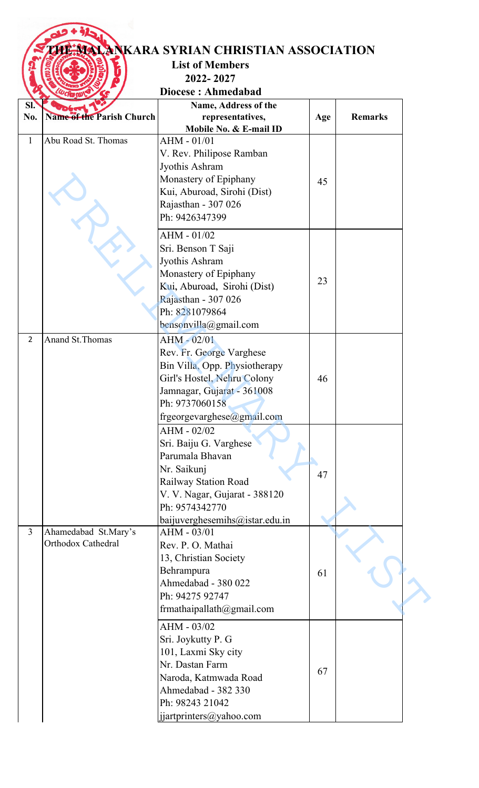## **THE MARA SYRIAN CHRISTIAN ASSOCIATION**

## **List of Members 2022- 2027**

**Diocese : Ahmedabad**

| SI.            |                                  | Name, Address of the           |     |                |
|----------------|----------------------------------|--------------------------------|-----|----------------|
| No.            | <b>Name of the Parish Church</b> | representatives,               | Age | <b>Remarks</b> |
|                |                                  | Mobile No. & E-mail ID         |     |                |
| $\mathbf{1}$   | Abu Road St. Thomas              | AHM - 01/01                    |     |                |
|                |                                  | V. Rev. Philipose Ramban       |     |                |
|                |                                  | Jyothis Ashram                 |     |                |
|                |                                  | Monastery of Epiphany          | 45  |                |
|                |                                  | Kui, Aburoad, Sirohi (Dist)    |     |                |
|                |                                  | Rajasthan - 307 026            |     |                |
|                |                                  | Ph: 9426347399                 |     |                |
|                |                                  |                                |     |                |
|                |                                  | AHM - 01/02                    |     |                |
|                |                                  | Sri. Benson T Saji             |     |                |
|                |                                  | Jyothis Ashram                 |     |                |
|                |                                  | Monastery of Epiphany          |     |                |
|                |                                  | Kui, Aburoad, Sirohi (Dist)    | 23  |                |
|                |                                  | Rajasthan - 307 026            |     |                |
|                |                                  | Ph: 8281079864                 |     |                |
|                |                                  | bensonvilla@gmail.com          |     |                |
| $\overline{2}$ | Anand St. Thomas                 | AHM - 02/01                    |     |                |
|                |                                  | Rev. Fr. George Varghese       |     |                |
|                |                                  | Bin Villa, Opp. Physiotherapy  |     |                |
|                |                                  | Girl's Hostel, Nehru Colony    | 46  |                |
|                |                                  | Jamnagar, Gujarat - 361008     |     |                |
|                |                                  | Ph: 9737060158                 |     |                |
|                |                                  |                                |     |                |
|                |                                  | frgeorgevarghese@gmail.com     |     |                |
|                |                                  | AHM - 02/02                    |     |                |
|                |                                  | Sri. Baiju G. Varghese         |     |                |
|                |                                  | Parumala Bhavan                |     |                |
|                |                                  | Nr. Saikunj                    | 47  |                |
|                |                                  | Railway Station Road           |     |                |
|                |                                  | V. V. Nagar, Gujarat - 388120  |     |                |
|                |                                  | Ph: 9574342770                 |     |                |
|                |                                  | baijuverghesemihs@istar.edu.in |     |                |
| $\overline{3}$ | Ahamedabad St.Mary's             | AHM - 03/01                    |     |                |
|                | Orthodox Cathedral               | Rev. P. O. Mathai              |     |                |
|                |                                  | 13, Christian Society          |     |                |
|                |                                  | Behrampura                     | 61  |                |
|                |                                  | Ahmedabad - 380 022            |     |                |
|                |                                  | Ph: 94275 92747                |     |                |
|                |                                  | frmathaipallath@gmail.com      |     |                |
|                |                                  | AHM - 03/02                    |     |                |
|                |                                  | Sri. Joykutty P. G             |     |                |
|                |                                  | 101, Laxmi Sky city            |     |                |
|                |                                  | Nr. Dastan Farm                |     |                |
|                |                                  | Naroda, Katmwada Road          | 67  |                |
|                |                                  | Ahmedabad - 382 330            |     |                |
|                |                                  | Ph: 98243 21042                |     |                |
|                |                                  |                                |     |                |
|                |                                  | jjartprinters@yahoo.com        |     |                |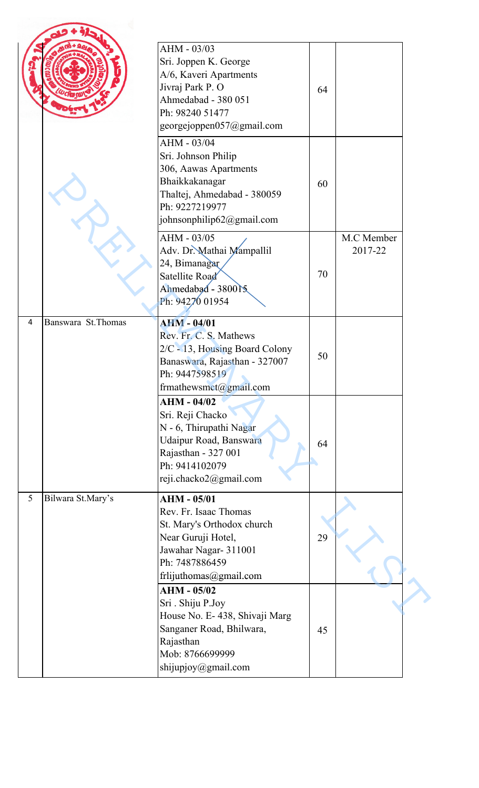|   |                    | AHM - 03/03<br>Sri. Joppen K. George<br>A/6, Kaveri Apartments<br>Jivraj Park P. O<br>Ahmedabad - 380 051<br>Ph: 98240 51477<br>georgejoppen057@gmail.com            | 64 |                       |  |
|---|--------------------|----------------------------------------------------------------------------------------------------------------------------------------------------------------------|----|-----------------------|--|
|   |                    | AHM - 03/04<br>Sri. Johnson Philip<br>306, Aawas Apartments<br>Bhaikkakanagar<br>Thaltej, Ahmedabad - 380059<br>Ph: 9227219977<br>johnsonphilip62@gmail.com          | 60 |                       |  |
|   |                    | AHM - 03/05<br>Adv. Dr. Mathai Mampallil<br>24, Bimanagar<br>Satellite Road<br>Ahmedabad - 380015<br>Ph: 94270 01954                                                 | 70 | M.C Member<br>2017-22 |  |
| 4 | Banswara St.Thomas | <b>AHM - 04/01</b><br>Rev. Fr. C. S. Mathews<br>2/C - 13, Housing Board Colony<br>Banaswara, Rajasthan - 327007<br>Ph: 9447598519<br>frmathewsmct@gmail.com          | 50 |                       |  |
|   |                    | $AHM - 04/02$<br>Sri. Reji Chacko<br>N - 6, Thirupathi Nagar<br>Udaipur Road, Banswara<br>Rajasthan - 327 001<br>Ph: 9414102079<br>reji.chacko2@gmail.com            | 64 |                       |  |
| 5 | Bilwara St.Mary's  | <b>AHM - 05/01</b><br>Rev. Fr. Isaac Thomas<br>St. Mary's Orthodox church<br>Near Guruji Hotel,<br>Jawahar Nagar- 311001<br>Ph: 7487886459<br>frlijuthomas@gmail.com | 29 |                       |  |
|   |                    | $AHM - 05/02$<br>Sri. Shiju P.Joy<br>House No. E-438, Shivaji Marg<br>Sanganer Road, Bhilwara,<br>Rajasthan<br>Mob: 8766699999<br>shijupjoy@gmail.com                | 45 |                       |  |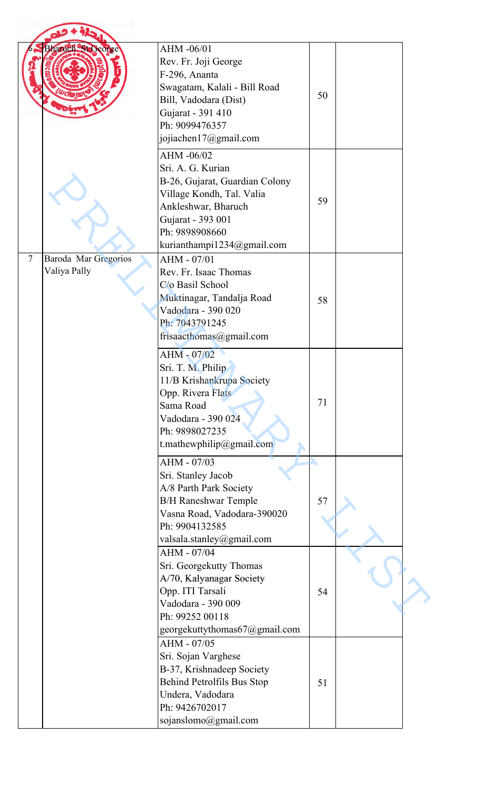|                | <b>Bharuch St George</b>             | AHM -06/01<br>Rev. Fr. Joji George<br>F-296, Ananta<br>Swagatam, Kalali - Bill Road<br>Bill, Vadodara (Dist)<br>Gujarat - 391 410<br>Ph: 9099476357<br>jojiachen17@gmail.com                                                                                                                                | 50       |  |
|----------------|--------------------------------------|-------------------------------------------------------------------------------------------------------------------------------------------------------------------------------------------------------------------------------------------------------------------------------------------------------------|----------|--|
|                |                                      | AHM -06/02<br>Sri. A. G. Kurian<br>B-26, Gujarat, Guardian Colony<br>Village Kondh, Tal. Valia<br>Ankleshwar, Bharuch<br>Gujarat - 393 001<br>Ph: 9898908660<br>kurianthampi1234@gmail.com                                                                                                                  | 59       |  |
| $\overline{7}$ | Baroda Mar Gregorios<br>Valiya Pally | AHM - 07/01<br>Rev. Fr. Isaac Thomas<br>C/o Basil School<br>Muktinagar, Tandalja Road<br>Vadodara - 390 020<br>Ph: 7043791245<br>frisaacthomas@gmail.com                                                                                                                                                    | 58       |  |
|                |                                      | AHM - 07/02<br>Sri. T. M. Philip<br>11/B Krishankrupa Society<br>Opp. Rivera Flats<br>Sama Road<br>Vadodara - 390 024<br>Ph: 9898027235<br>t.mathewphilip@gmail.com                                                                                                                                         | 71       |  |
|                |                                      | AHM - 07/03<br>Sri. Stanley Jacob<br>A/8 Parth Park Society<br><b>B/H Raneshwar Temple</b><br>Vasna Road, Vadodara-390020<br>Ph: 9904132585<br>valsala.stanley@gmail.com<br>AHM - 07/04<br>Sri. Georgekutty Thomas<br>A/70, Kalyanagar Society<br>Opp. ITI Tarsali<br>Vadodara - 390 009<br>Ph: 99252 00118 | 57<br>54 |  |
|                |                                      | georgekuttythomas67@gmail.com<br>AHM - 07/05<br>Sri. Sojan Varghese<br>B-37, Krishnadeep Society<br>Behind Petrolfils Bus Stop<br>Undera, Vadodara<br>Ph: 9426702017<br>sojanslomo@gmail.com                                                                                                                | 51       |  |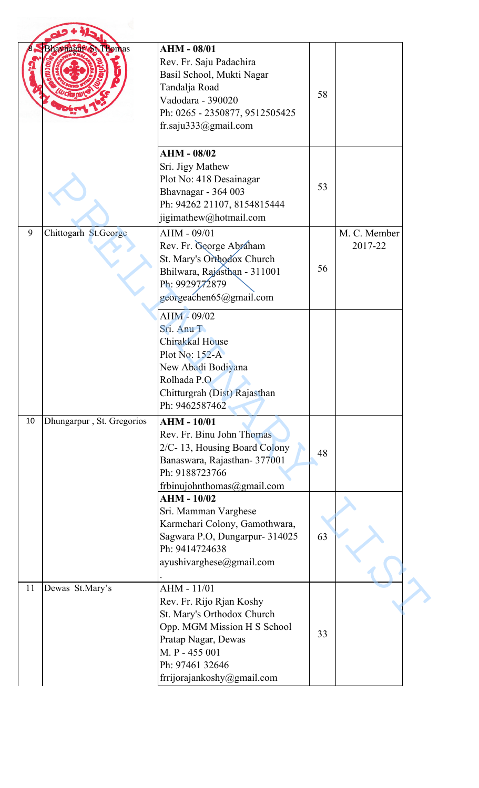|    | <b>Bhavmagat St Thomas</b> | <b>AHM - 08/01</b><br>Rev. Fr. Saju Padachira<br>Basil School, Mukti Nagar<br>Tandalja Road<br>Vadodara - 390020<br>Ph: 0265 - 2350877, 9512505425<br>fr.saju333@gmail.com                     | 58 |                         |
|----|----------------------------|------------------------------------------------------------------------------------------------------------------------------------------------------------------------------------------------|----|-------------------------|
|    |                            | <b>AHM - 08/02</b><br>Sri. Jigy Mathew<br>Plot No: 418 Desainagar<br>Bhavnagar - 364 003<br>Ph: 94262 21107, 8154815444<br>jigimathew@hotmail.com                                              | 53 |                         |
| 9  | Chittogarh St.George       | AHM - 09/01<br>Rev. Fr. George Abraham<br>St. Mary's Orthodox Church<br>Bhilwara, Rajasthan - 311001<br>Ph: 9929772879<br>georgeachen65@gmail.com                                              | 56 | M. C. Member<br>2017-22 |
|    |                            | $AHM - 09/02$<br>Sri. Anu T<br>Chirakkal House<br>Plot No: $152-A$<br>New Abadi Bodiyana<br>Rolhada P.O<br>Chitturgrah (Dist) Rajasthan<br>Ph: 9462587462                                      |    |                         |
| 10 | Dhungarpur, St. Gregorios  | <b>AHM - 10/01</b><br>Rev. Fr. Binu John Thomas<br>2/C-13, Housing Board Colony<br>Banaswara, Rajasthan- 377001<br>Ph: 9188723766<br>frbinujohnthomas@gmail.com                                | 48 |                         |
|    |                            | <b>AHM - 10/02</b><br>Sri. Mamman Varghese<br>Karmchari Colony, Gamothwara,<br>Sagwara P.O, Dungarpur- 314025<br>Ph: 9414724638<br>ayushivarghese@gmail.com                                    | 63 |                         |
| 11 | Dewas St.Mary's            | AHM - 11/01<br>Rev. Fr. Rijo Rjan Koshy<br>St. Mary's Orthodox Church<br>Opp. MGM Mission H S School<br>Pratap Nagar, Dewas<br>M. P - 455 001<br>Ph: 97461 32646<br>frrijorajankoshy@gmail.com | 33 |                         |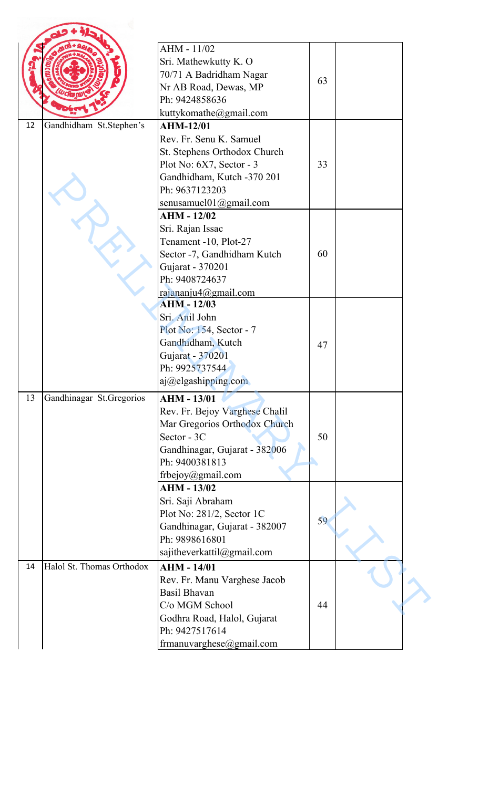|    |                           | AHM - 11/02<br>Sri. Mathewkutty K. O<br>70/71 A Badridham Nagar<br>Nr AB Road, Dewas, MP<br>Ph: 9424858636<br>kuttykomathe@gmail.com                                                          | 63 |  |
|----|---------------------------|-----------------------------------------------------------------------------------------------------------------------------------------------------------------------------------------------|----|--|
| 12 | Gandhidham St.Stephen's   | <b>AHM-12/01</b><br>Rev. Fr. Senu K. Samuel<br>St. Stephens Orthodox Church<br>Plot No: 6X7, Sector - 3<br>Gandhidham, Kutch -370 201<br>Ph: 9637123203<br>senusamuel $01$ @gmail.com         | 33 |  |
|    |                           | $AHM - 12/02$<br>Sri. Rajan Issac<br>Tenament -10, Plot-27<br>Sector -7, Gandhidham Kutch<br>Gujarat - 370201<br>Ph: 9408724637<br>rajananju4@gmail.com                                       | 60 |  |
|    |                           | <b>AHM - 12/03</b><br>Sri. Anil John<br>Plot No: 154, Sector - 7<br>Gandhidham, Kutch<br>Gujarat - 370201<br>Ph: 9925737544<br>aj@elgashipping.com                                            | 47 |  |
| 13 | Gandhinagar St.Gregorios  | $AHM - 13/01$<br>Rev. Fr. Bejoy Varghese Chalil<br>Mar Gregorios Orthodox Church<br>Sector - 3C<br>Gandhinagar, Gujarat - 382006<br>Ph: 9400381813<br>frbejoy@gmail.com<br><b>AHM - 13/02</b> | 50 |  |
|    |                           | Sri. Saji Abraham<br>Plot No: 281/2, Sector 1C<br>Gandhinagar, Gujarat - 382007<br>Ph: 9898616801<br>sajitheverkattil@gmail.com                                                               | 59 |  |
| 14 | Halol St. Thomas Orthodox | <b>AHM - 14/01</b><br>Rev. Fr. Manu Varghese Jacob<br><b>Basil Bhavan</b><br>C/o MGM School<br>Godhra Road, Halol, Gujarat<br>Ph: 9427517614<br>frmanuvarghese@gmail.com                      | 44 |  |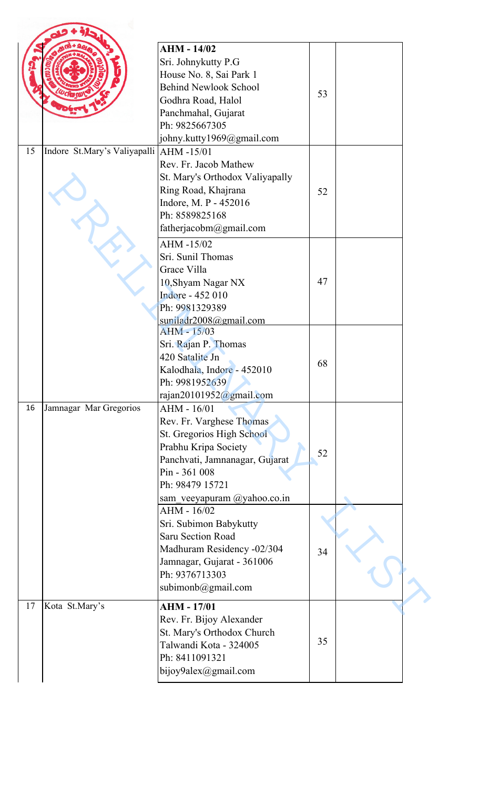|    |                                         | <b>AHM - 14/02</b><br>Sri. Johnykutty P.G<br>House No. 8, Sai Park 1<br><b>Behind Newlook School</b><br>Godhra Road, Halol<br>Panchmahal, Gujarat<br>Ph: 9825667305<br>johny.kutty1969@gmail.com  | 53 |  |
|----|-----------------------------------------|---------------------------------------------------------------------------------------------------------------------------------------------------------------------------------------------------|----|--|
| 15 | Indore St.Mary's Valiyapalli AHM -15/01 | Rev. Fr. Jacob Mathew<br>St. Mary's Orthodox Valiyapally<br>Ring Road, Khajrana<br>Indore, M. P - 452016<br>Ph: 8589825168<br>fatherjacobm@gmail.com                                              | 52 |  |
|    |                                         | AHM-15/02<br>Sri. Sunil Thomas<br>Grace Villa<br>10, Shyam Nagar NX<br>Indore - 452 010<br>Ph: 9981329389<br>suniladr2008@gmail.com                                                               | 47 |  |
|    |                                         | <b>AHM - 15/03</b><br>Sri. Rajan P. Thomas<br>420 Satalite Jn<br>Kalodhala, Indore - 452010<br>Ph: 9981952639<br>rajan20101952@gmail.com                                                          | 68 |  |
| 16 | Jamnagar Mar Gregorios                  | AHM - 16/01<br>Rev. Fr. Varghese Thomas<br>St. Gregorios High School<br>Prabhu Kripa Society<br>Panchvati, Jamnanagar, Gujarat<br>Pin - 361 008<br>Ph: 98479 15721<br>sam veeyapuram @yahoo.co.in | 52 |  |
|    |                                         | AHM - 16/02<br>Sri. Subimon Babykutty<br><b>Saru Section Road</b><br>Madhuram Residency -02/304<br>Jamnagar, Gujarat - 361006<br>Ph: 9376713303<br>subimonb@gmail.com                             | 34 |  |
| 17 | Kota St.Mary's                          | <b>AHM - 17/01</b><br>Rev. Fr. Bijoy Alexander<br>St. Mary's Orthodox Church<br>Talwandi Kota - 324005<br>Ph: 8411091321<br>bijoy9alex@gmail.com                                                  | 35 |  |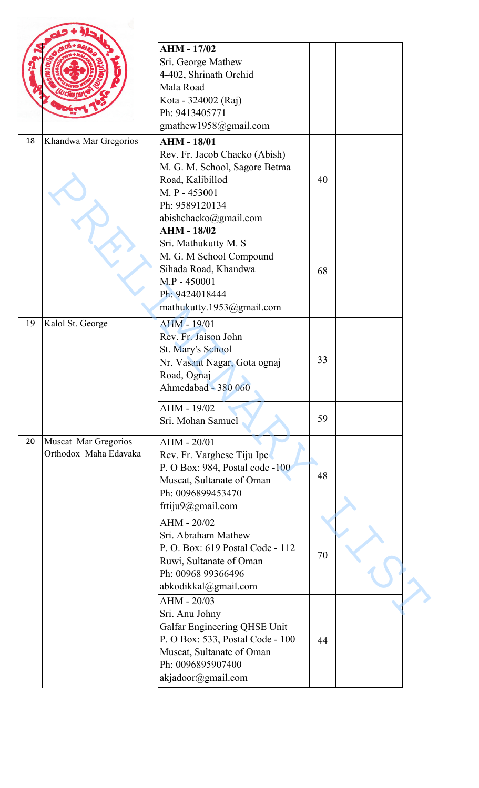|    |                                               | <b>AHM - 17/02</b><br>Sri. George Mathew<br>4-402, Shrinath Orchid                                                                                                        |    |  |
|----|-----------------------------------------------|---------------------------------------------------------------------------------------------------------------------------------------------------------------------------|----|--|
|    |                                               | Mala Road<br>Kota - 324002 (Raj)<br>Ph: 9413405771<br>gmathew1958@gmail.com                                                                                               |    |  |
| 18 | Khandwa Mar Gregorios                         | <b>AHM - 18/01</b><br>Rev. Fr. Jacob Chacko (Abish)<br>M. G. M. School, Sagore Betma<br>Road, Kalibillod<br>M. P - 453001<br>Ph: 9589120134<br>abishchacko@gmail.com      | 40 |  |
|    |                                               | <b>AHM - 18/02</b><br>Sri. Mathukutty M. S<br>M. G. M School Compound<br>Sihada Road, Khandwa<br>M.P - 450001<br>Ph: 9424018444<br>mathukutty.1953@gmail.com              | 68 |  |
| 19 | Kalol St. George                              | <b>AHM - 19/01</b><br>Rev. Fr. Jaison John<br>St. Mary's School<br>Nr. Vasant Nagar, Gota ognaj<br>Road, Ognaj<br>Ahmedabad - 380 060                                     | 33 |  |
|    |                                               | AHM - 19/02<br>Sri. Mohan Samuel                                                                                                                                          | 59 |  |
| 20 | Muscat Mar Gregorios<br>Orthodox Maha Edavaka | AHM - 20/01<br>Rev. Fr. Varghese Tiju Ipe<br>P. O Box: 984, Postal code -100<br>Muscat, Sultanate of Oman<br>Ph: 0096899453470<br>frtiju9@gmail.com                       | 48 |  |
|    |                                               | AHM - 20/02<br>Sri. Abraham Mathew<br>P. O. Box: 619 Postal Code - 112<br>Ruwi, Sultanate of Oman<br>Ph: 00968 99366496<br>abkodikkal@gmail.com                           | 70 |  |
|    |                                               | AHM - 20/03<br>Sri. Anu Johny<br>Galfar Engineering QHSE Unit<br>P. O Box: 533, Postal Code - 100<br>Muscat, Sultanate of Oman<br>Ph: 0096895907400<br>akjadoor@gmail.com | 44 |  |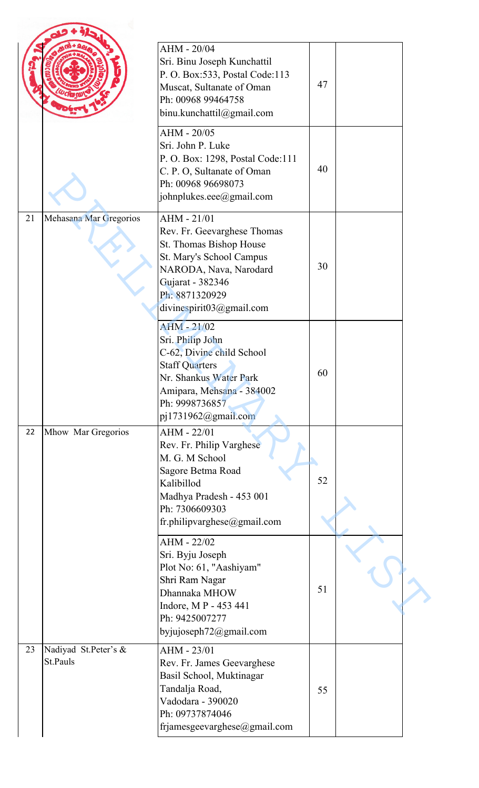|    |                                  | AHM - 20/04<br>Sri. Binu Joseph Kunchattil<br>P. O. Box: 533, Postal Code: 113<br>Muscat, Sultanate of Oman<br>Ph: 00968 99464758<br>binu.kunchattil@gmail.com                                | 47 |  |
|----|----------------------------------|-----------------------------------------------------------------------------------------------------------------------------------------------------------------------------------------------|----|--|
|    |                                  | AHM - 20/05<br>Sri. John P. Luke<br>P. O. Box: 1298, Postal Code:111<br>C. P. O, Sultanate of Oman<br>Ph: 00968 96698073<br>johnplukes.eee@gmail.com                                          | 40 |  |
| 21 | Mehasana Mar Gregorios           | AHM - 21/01<br>Rev. Fr. Geevarghese Thomas<br>St. Thomas Bishop House<br>St. Mary's School Campus<br>NARODA, Nava, Narodard<br>Gujarat - 382346<br>Ph: 8871320929<br>divinespirit03@gmail.com | 30 |  |
|    |                                  | <b>AHM - 21/02</b><br>Sri. Philip John<br>C-62, Divine child School<br><b>Staff Quarters</b><br>Nr. Shankus Water Park<br>Amipara, Mehsana - 384002<br>Ph: 9998736857<br>pj1731962@gmail.com  | 60 |  |
| 22 | Mhow Mar Gregorios               | AHM - 22/01<br>Rev. Fr. Philip Varghese<br>M. G. M School<br>Sagore Betma Road<br>Kalibillod<br>Madhya Pradesh - 453 001<br>Ph: 7306609303<br>fr.philipvarghese@gmail.com                     | 52 |  |
|    |                                  | AHM - 22/02<br>Sri. Byju Joseph<br>Plot No: 61, "Aashiyam"<br>Shri Ram Nagar<br>Dhannaka MHOW<br>Indore, MP - 453 441<br>Ph: 9425007277<br>byjujoseph72@gmail.com                             | 51 |  |
| 23 | Nadiyad St.Peter's &<br>St.Pauls | AHM - 23/01<br>Rev. Fr. James Geevarghese<br>Basil School, Muktinagar<br>Tandalja Road,<br>Vadodara - 390020<br>Ph: 09737874046<br>frjamesgeevarghese@gmail.com                               | 55 |  |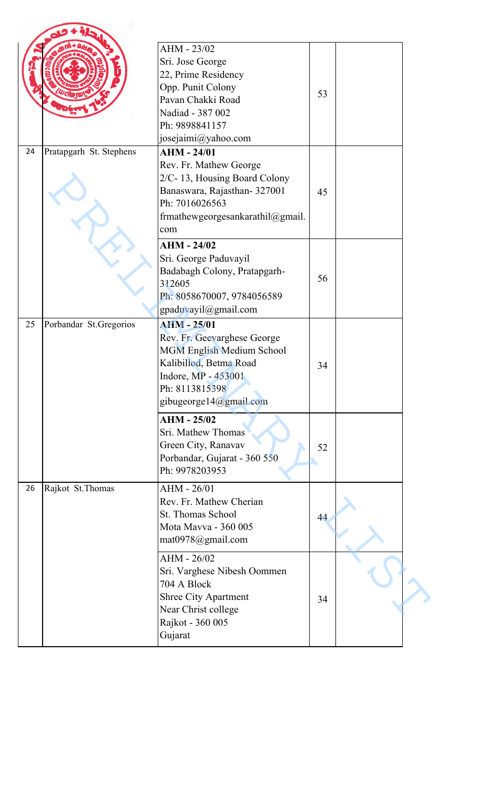|    |                         | AHM - 23/02<br>Sri. Jose George<br>22, Prime Residency<br>Opp. Punit Colony<br>Pavan Chakki Road<br>Nadiad - 387 002<br>Ph: 9898841157<br>josejaimi@yahoo.com               | 53 |  |
|----|-------------------------|-----------------------------------------------------------------------------------------------------------------------------------------------------------------------------|----|--|
| 24 | Pratapgarh St. Stephens | <b>AHM - 24/01</b><br>Rev. Fr. Mathew George<br>2/C-13, Housing Board Colony<br>Banaswara, Rajasthan-327001<br>Ph: 7016026563<br>frmathewgeorgesankarathil@gmail.<br>com    | 45 |  |
|    |                         | $AHM - 24/02$<br>Sri. George Paduvayil<br>Badabagh Colony, Pratapgarh-<br>312605<br>Ph: 8058670007, 9784056589<br>gpaduvayil@gmail.com                                      | 56 |  |
| 25 | Porbandar St.Gregorios  | <b>AHM - 25/01</b><br>Rev. Fr. Geevarghese George<br>MGM English Medium School<br>Kalibillod, Betma Road<br>Indore, MP - 453001<br>Ph: 8113815398<br>gibugeorge14@gmail.com | 34 |  |
|    |                         | <b>AHM - 25/02</b><br>Sri. Mathew Thomas<br>Green City, Ranavav<br>Porbandar, Gujarat - 360 550<br>Ph: 9978203953                                                           | 52 |  |
| 26 | Rajkot St. Thomas       | AHM - 26/01<br>Rev. Fr. Mathew Cherian<br>St. Thomas School<br>Mota Mavva - 360 005<br>mat0978@gmail.com                                                                    | 44 |  |
|    |                         | AHM - 26/02<br>Sri. Varghese Nibesh Oommen<br>704 A Block<br><b>Shree City Apartment</b><br>Near Christ college<br>Rajkot - 360 005<br>Gujarat                              | 34 |  |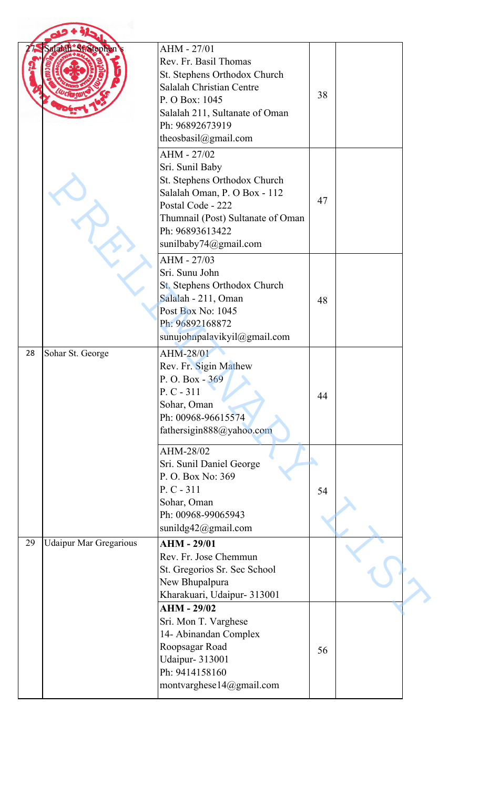|    | Salaiah St. Stephen           | AHM - 27/01<br>Rev. Fr. Basil Thomas<br>St. Stephens Orthodox Church<br>Salalah Christian Centre<br>P. O Box: 1045<br>Salalah 211, Sultanate of Oman<br>Ph: 96892673919<br>theosbasil@gmail.com      | 38 |  |
|----|-------------------------------|------------------------------------------------------------------------------------------------------------------------------------------------------------------------------------------------------|----|--|
|    |                               | AHM - 27/02<br>Sri. Sunil Baby<br>St. Stephens Orthodox Church<br>Salalah Oman, P. O Box - 112<br>Postal Code - 222<br>Thumnail (Post) Sultanate of Oman<br>Ph: 96893613422<br>sunilbaby74@gmail.com | 47 |  |
|    |                               | AHM - 27/03<br>Sri. Sunu John<br>St. Stephens Orthodox Church<br>Salalah - 211, Oman<br>Post Box No: 1045<br>Ph: 96892168872<br>sunujohnpalavikyil@gmail.com                                         | 48 |  |
| 28 | Sohar St. George              | AHM-28/01<br>Rev. Fr. Sigin Mathew<br>P.O. Box - 369<br>$P. C - 311$<br>Sohar, Oman<br>Ph: 00968-96615574<br>fathersigin888@yahoo.com                                                                | 44 |  |
|    |                               | AHM-28/02<br>Sri. Sunil Daniel George<br>P. O. Box No: 369<br>$P. C - 311$<br>Sohar, Oman<br>Ph: 00968-99065943<br>sunildg42@gmail.com                                                               | 54 |  |
| 29 | <b>Udaipur Mar Gregarious</b> | <b>AHM - 29/01</b><br>Rev. Fr. Jose Chemmun<br>St. Gregorios Sr. Sec School<br>New Bhupalpura<br>Kharakuari, Udaipur- 313001                                                                         |    |  |
|    |                               | <b>AHM - 29/02</b><br>Sri. Mon T. Varghese<br>14- Abinandan Complex<br>Roopsagar Road<br><b>Udaipur-313001</b><br>Ph: 9414158160<br>montvarghese14@gmail.com                                         | 56 |  |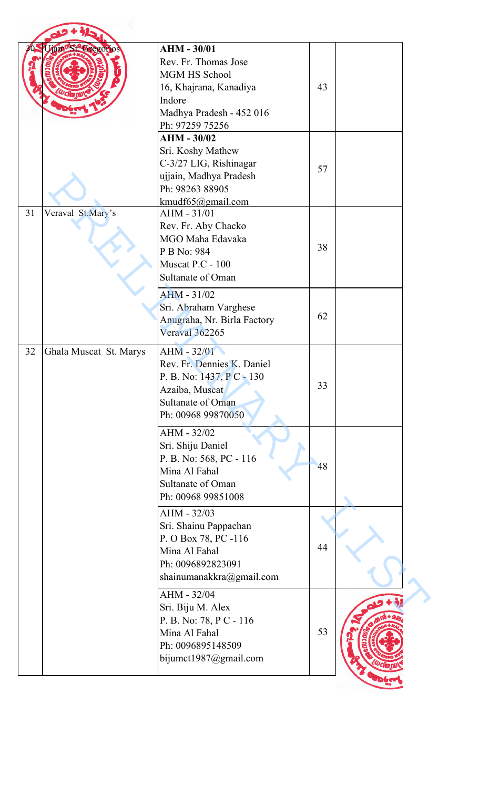|    | Jam St. Cregorios      | <b>AHM - 30/01</b><br>Rev. Fr. Thomas Jose<br><b>MGM HS School</b><br>16, Khajrana, Kanadiya<br>Indore<br>Madhya Pradesh - 452 016<br>Ph: 97259 75256 | 43 |  |
|----|------------------------|-------------------------------------------------------------------------------------------------------------------------------------------------------|----|--|
|    |                        | <b>AHM - 30/02</b><br>Sri. Koshy Mathew<br>C-3/27 LIG, Rishinagar<br>ujjain, Madhya Pradesh<br>Ph: 98263 88905<br>kmudf65@gmail.com                   | 57 |  |
| 31 | Veraval St.Mary's      | AHM - 31/01<br>Rev. Fr. Aby Chacko<br>MGO Maha Edavaka<br>P B No: 984<br>Muscat P.C - 100<br><b>Sultanate of Oman</b>                                 | 38 |  |
|    |                        | $AHM - 31/02$<br>Sri. Abraham Varghese<br>Anugraha, Nr. Birla Factory<br>Veraval 362265                                                               | 62 |  |
| 32 | Ghala Muscat St. Marys | <b>AHM - 32/01</b><br>Rev. Fr. Dennies K. Daniel<br>P. B. No: 1437, P C - 130<br>Azaiba, Muscat<br>Sultanate of Oman<br>Ph: 00968 99870050            | 33 |  |
|    |                        | AHM - 32/02<br>Sri. Shiju Daniel<br>P. B. No: 568, PC - 116<br>Mina Al Fahal<br>Sultanate of Oman<br>Ph: 00968 99851008                               | 48 |  |
|    |                        | AHM - 32/03<br>Sri. Shainu Pappachan<br>P. O Box 78, PC -116<br>Mina Al Fahal<br>Ph: 0096892823091<br>shainumanakkra@gmail.com                        | 44 |  |
|    |                        | AHM - 32/04<br>Sri. Biju M. Alex<br>P. B. No: 78, P C - 116<br>Mina Al Fahal<br>Ph: 0096895148509<br>bijumct1987@gmail.com                            | 53 |  |